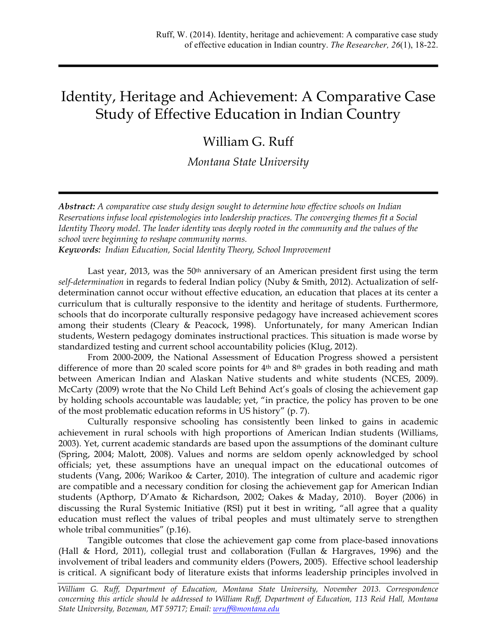# Identity, Heritage and Achievement: A Comparative Case Study of Effective Education in Indian Country

## William G. Ruff

*Montana State University*

*Abstract: A comparative case study design sought to determine how effective schools on Indian Reservations infuse local epistemologies into leadership practices. The converging themes fit a Social Identity Theory model. The leader identity was deeply rooted in the community and the values of the school were beginning to reshape community norms.*

*Keywords: Indian Education, Social Identity Theory, School Improvement*

Last year, 2013, was the  $50<sup>th</sup>$  anniversary of an American president first using the term *self-determination* in regards to federal Indian policy (Nuby & Smith, 2012). Actualization of selfdetermination cannot occur without effective education, an education that places at its center a curriculum that is culturally responsive to the identity and heritage of students. Furthermore, schools that do incorporate culturally responsive pedagogy have increased achievement scores among their students (Cleary & Peacock, 1998). Unfortunately, for many American Indian students, Western pedagogy dominates instructional practices. This situation is made worse by standardized testing and current school accountability policies (Klug, 2012).

From 2000-2009, the National Assessment of Education Progress showed a persistent difference of more than 20 scaled score points for 4<sup>th</sup> and 8<sup>th</sup> grades in both reading and math between American Indian and Alaskan Native students and white students (NCES, 2009). McCarty (2009) wrote that the No Child Left Behind Act's goals of closing the achievement gap by holding schools accountable was laudable; yet, "in practice, the policy has proven to be one of the most problematic education reforms in US history" (p. 7).

Culturally responsive schooling has consistently been linked to gains in academic achievement in rural schools with high proportions of American Indian students (Williams, 2003). Yet, current academic standards are based upon the assumptions of the dominant culture (Spring, 2004; Malott, 2008). Values and norms are seldom openly acknowledged by school officials; yet, these assumptions have an unequal impact on the educational outcomes of students (Vang, 2006; Warikoo & Carter, 2010). The integration of culture and academic rigor are compatible and a necessary condition for closing the achievement gap for American Indian students (Apthorp, D'Amato & Richardson, 2002; Oakes & Maday, 2010). Boyer (2006) in discussing the Rural Systemic Initiative (RSI) put it best in writing, "all agree that a quality education must reflect the values of tribal peoples and must ultimately serve to strengthen whole tribal communities" (p.16).

Tangible outcomes that close the achievement gap come from place-based innovations (Hall & Hord, 2011), collegial trust and collaboration (Fullan & Hargraves, 1996) and the involvement of tribal leaders and community elders (Powers, 2005). Effective school leadership is critical. A significant body of literature exists that informs leadership principles involved in

*William G. Ruff, Department of Education, Montana State University, November 2013. Correspondence concerning this article should be addressed to William Ruff, Department of Education, 113 Reid Hall, Montana State University, Bozeman, MT 59717; Email: wruff@montana.edu*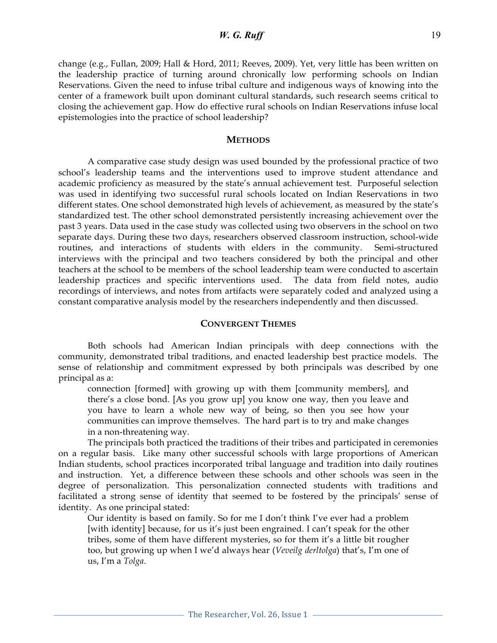## *W. G. Ruff* 19

change (e.g., Fullan, 2009; Hall & Hord, 2011; Reeves, 2009). Yet, very little has been written on the leadership practice of turning around chronically low performing schools on Indian Reservations. Given the need to infuse tribal culture and indigenous ways of knowing into the center of a framework built upon dominant cultural standards, such research seems critical to closing the achievement gap. How do effective rural schools on Indian Reservations infuse local epistemologies into the practice of school leadership?

## **METHODS**

A comparative case study design was used bounded by the professional practice of two school's leadership teams and the interventions used to improve student attendance and academic proficiency as measured by the state's annual achievement test. Purposeful selection was used in identifying two successful rural schools located on Indian Reservations in two different states. One school demonstrated high levels of achievement, as measured by the state's standardized test. The other school demonstrated persistently increasing achievement over the past 3 years. Data used in the case study was collected using two observers in the school on two separate days. During these two days, researchers observed classroom instruction, school-wide routines, and interactions of students with elders in the community. Semi-structured interviews with the principal and two teachers considered by both the principal and other teachers at the school to be members of the school leadership team were conducted to ascertain leadership practices and specific interventions used. The data from field notes, audio recordings of interviews, and notes from artifacts were separately coded and analyzed using a constant comparative analysis model by the researchers independently and then discussed.

## **CONVERGENT THEMES**

Both schools had American Indian principals with deep connections with the community, demonstrated tribal traditions, and enacted leadership best practice models. The sense of relationship and commitment expressed by both principals was described by one principal as a:

connection [formed] with growing up with them [community members], and there's a close bond. [As you grow up] you know one way, then you leave and you have to learn a whole new way of being, so then you see how your communities can improve themselves. The hard part is to try and make changes in a non-threatening way.

The principals both practiced the traditions of their tribes and participated in ceremonies on a regular basis. Like many other successful schools with large proportions of American Indian students, school practices incorporated tribal language and tradition into daily routines and instruction. Yet, a difference between these schools and other schools was seen in the degree of personalization. This personalization connected students with traditions and facilitated a strong sense of identity that seemed to be fostered by the principals' sense of identity. As one principal stated:

Our identity is based on family. So for me I don't think I've ever had a problem [with identity] because, for us it's just been engrained. I can't speak for the other tribes, some of them have different mysteries, so for them it's a little bit rougher too, but growing up when I we'd always hear (*Veveilg derltolga*) that's, I'm one of us, I'm a *Tolga*.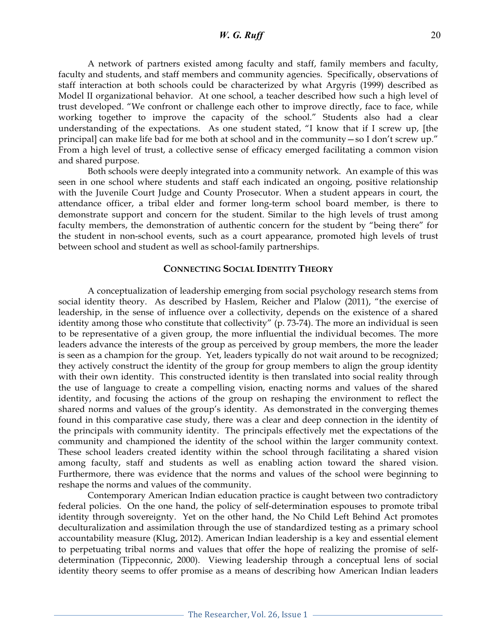*W. G. Ruff* 20

A network of partners existed among faculty and staff, family members and faculty, faculty and students, and staff members and community agencies. Specifically, observations of staff interaction at both schools could be characterized by what Argyris (1999) described as Model II organizational behavior. At one school, a teacher described how such a high level of trust developed. "We confront or challenge each other to improve directly, face to face, while working together to improve the capacity of the school." Students also had a clear understanding of the expectations. As one student stated, "I know that if I screw up, [the principal] can make life bad for me both at school and in the community—so I don't screw up." From a high level of trust, a collective sense of efficacy emerged facilitating a common vision and shared purpose.

Both schools were deeply integrated into a community network. An example of this was seen in one school where students and staff each indicated an ongoing, positive relationship with the Juvenile Court Judge and County Prosecutor. When a student appears in court, the attendance officer, a tribal elder and former long-term school board member, is there to demonstrate support and concern for the student. Similar to the high levels of trust among faculty members, the demonstration of authentic concern for the student by "being there" for the student in non-school events, such as a court appearance, promoted high levels of trust between school and student as well as school-family partnerships.

### **CONNECTING SOCIAL IDENTITY THEORY**

A conceptualization of leadership emerging from social psychology research stems from social identity theory. As described by Haslem, Reicher and Plalow (2011), "the exercise of leadership, in the sense of influence over a collectivity, depends on the existence of a shared identity among those who constitute that collectivity" (p. 73-74). The more an individual is seen to be representative of a given group, the more influential the individual becomes. The more leaders advance the interests of the group as perceived by group members, the more the leader is seen as a champion for the group. Yet, leaders typically do not wait around to be recognized; they actively construct the identity of the group for group members to align the group identity with their own identity. This constructed identity is then translated into social reality through the use of language to create a compelling vision, enacting norms and values of the shared identity, and focusing the actions of the group on reshaping the environment to reflect the shared norms and values of the group's identity. As demonstrated in the converging themes found in this comparative case study, there was a clear and deep connection in the identity of the principals with community identity. The principals effectively met the expectations of the community and championed the identity of the school within the larger community context. These school leaders created identity within the school through facilitating a shared vision among faculty, staff and students as well as enabling action toward the shared vision. Furthermore, there was evidence that the norms and values of the school were beginning to reshape the norms and values of the community.

Contemporary American Indian education practice is caught between two contradictory federal policies. On the one hand, the policy of self-determination espouses to promote tribal identity through sovereignty. Yet on the other hand, the No Child Left Behind Act promotes deculturalization and assimilation through the use of standardized testing as a primary school accountability measure (Klug, 2012). American Indian leadership is a key and essential element to perpetuating tribal norms and values that offer the hope of realizing the promise of selfdetermination (Tippeconnic, 2000). Viewing leadership through a conceptual lens of social identity theory seems to offer promise as a means of describing how American Indian leaders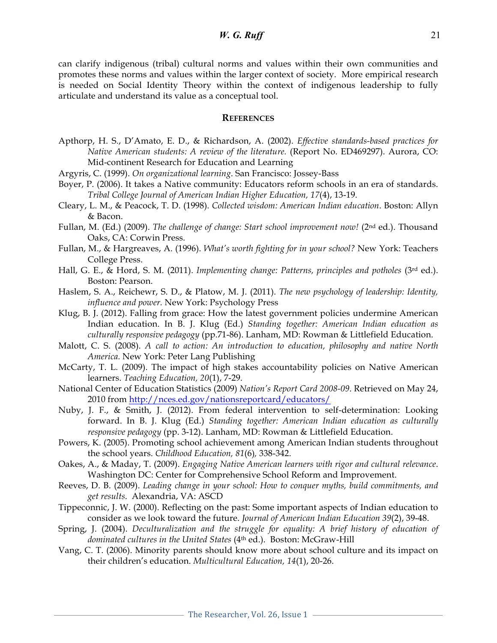can clarify indigenous (tribal) cultural norms and values within their own communities and promotes these norms and values within the larger context of society. More empirical research is needed on Social Identity Theory within the context of indigenous leadership to fully articulate and understand its value as a conceptual tool.

#### **REFERENCES**

- Apthorp, H. S., D'Amato, E. D., & Richardson, A. (2002). *Effective standards-based practices for Native American students: A review of the literature.* (Report No. ED469297). Aurora, CO: Mid-continent Research for Education and Learning
- Argyris, C. (1999). *On organizational learning*. San Francisco: Jossey-Bass
- Boyer, P. (2006). It takes a Native community: Educators reform schools in an era of standards. *Tribal College Journal of American Indian Higher Education, 17*(4), 13-19.
- Cleary, L. M., & Peacock, T. D. (1998). *Collected wisdom: American Indian education*. Boston: Allyn & Bacon.
- Fullan, M. (Ed.) (2009). *The challenge of change: Start school improvement now!* (2nd ed.). Thousand Oaks, CA: Corwin Press.
- Fullan, M., & Hargreaves, A. (1996). *What's worth fighting for in your school?* New York: Teachers College Press.
- Hall, G. E., & Hord, S. M. (2011). *Implementing change: Patterns, principles and potholes* (3rd ed.). Boston: Pearson.
- Haslem, S. A., Reichewr, S. D., & Platow, M. J. (2011). *The new psychology of leadership: Identity, influence and power.* New York: Psychology Press
- Klug, B. J. (2012). Falling from grace: How the latest government policies undermine American Indian education. In B. J. Klug (Ed.) *Standing together: American Indian education as culturally responsive pedagogy* (pp.71-86). Lanham, MD: Rowman & Littlefield Education.
- Malott, C. S. (2008). *A call to action: An introduction to education, philosophy and native North America.* New York: Peter Lang Publishing
- McCarty, T. L. (2009). The impact of high stakes accountability policies on Native American learners. *Teaching Education, 20*(1), 7-29.
- National Center of Education Statistics (2009) *Nation's Report Card 2008-09*. Retrieved on May 24, 2010 from http://nces.ed.gov/nationsreportcard/educators/
- Nuby, J. F., & Smith, J. (2012). From federal intervention to self-determination: Looking forward. In B. J. Klug (Ed.) *Standing together: American Indian education as culturally responsive pedagogy* (pp. 3-12). Lanham, MD: Rowman & Littlefield Education.
- Powers, K. (2005). Promoting school achievement among American Indian students throughout the school years. *Childhood Education, 81*(6)*,* 338-342.
- Oakes, A., & Maday, T. (2009). *Engaging Native American learners with rigor and cultural relevance*. Washington DC: Center for Comprehensive School Reform and Improvement.
- Reeves, D. B. (2009). *Leading change in your school: How to conquer myths, build commitments, and get results*. Alexandria, VA: ASCD
- Tippeconnic, J. W. (2000). Reflecting on the past: Some important aspects of Indian education to consider as we look toward the future. *Journal of American Indian Education 39*(2), 39-48.
- Spring, J. (2004). *Deculturalization and the struggle for equality: A brief history of education of dominated cultures in the United States* (4th ed.). Boston: McGraw-Hill
- Vang, C. T. (2006). Minority parents should know more about school culture and its impact on their children's education. *Multicultural Education, 14*(1), 20-26.